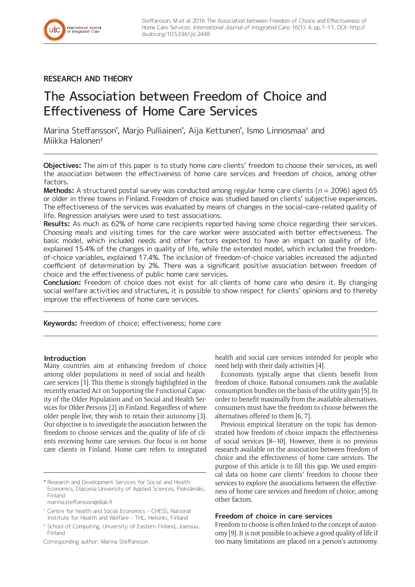

## **RESEARCH AND THEORY**

# The Association between Freedom of Choice and Effectiveness of Home Care Services

Marina Steffansson\*, Marjo Pulliainen\*, Aija Kettunen\*, Ismo Linnosmaa† and Miikka Halonen‡

**Objectives:** The aim of this paper is to study home care clients' freedom to choose their services, as well the association between the effectiveness of home care services and freedom of choice, among other factors

**Methods:** A structured postal survey was conducted among regular home care clients ( $n = 2096$ ) aged 65 or older in three towns in Finland. Freedom of choice was studied based on clients' subjective experiences. The effectiveness of the services was evaluated by means of changes in the social-care-related quality of life. Regression analyses were used to test associations.

**Results:** As much as 62% of home care recipients reported having some choice regarding their services. Choosing meals and visiting times for the care worker were associated with better effectiveness. The basic model, which included needs and other factors expected to have an impact on quality of life, explained 15.4% of the changes in quality of life, while the extended model, which included the freedomof-choice variables, explained 17.4%. The inclusion of freedom-of-choice variables increased the adjusted coefficient of determination by 2%. There was a significant positive association between freedom of choice and the effectiveness of public home care services.

**Conclusion:** Freedom of choice does not exist for all clients of home care who desire it. By changing social welfare activities and structures, it is possible to show respect for clients' opinions and to thereby improve the effectiveness of home care services.

**Keywords:** freedom of choice; effectiveness; home care

## **Introduction**

Many countries aim at enhancing freedom of choice among older populations in need of social and healthcare services [1]. This theme is strongly highlighted in the recently enacted Act on Supporting the Functional Capacity of the Older Population and on Social and Health Services for Older Persons [2] in Finland. Regardless of where older people live, they wish to retain their autonomy [3]. Our objective is to investigate the association between the freedom to choose services and the quality of life of clients receiving home care services. Our focus is on home care clients in Finland. Home care refers to integrated

[marina.steffansson@diak.fi](mailto:marina.steffansson@diak.fi)

‡ School of Computing, University of Eastern Finland, Joensuu, Finland

Corresponding author: Marina Steffansson

health and social care services intended for people who need help with their daily activities [4].

Economists typically argue that clients benefit from freedom of choice. Rational consumers rank the available consumption bundles on the basis of the utility gain [5]. In order to benefit maximally from the available alternatives, consumers must have the freedom to choose between the alternatives offered to them [6, 7].

Previous empirical literature on the topic has demonstrated how freedom of choice impacts the effectiveness of social services [8–10]. However, there is no previous research available on the association between freedom of choice and the effectiveness of home care services. The purpose of this article is to fill this gap. We used empirical data on home care clients' freedom to choose their services to explore the associations between the effectiveness of home care services and freedom of choice, among other factors.

## **Freedom of choice in care services**

Freedom to choose is often linked to the concept of autonomy [9]. It is not possible to achieve a good quality of life if too many limitations are placed on a person's autonomy.

<sup>\*</sup> Research and Development Services for Social and Health Economics, Diaconia University of Applied Sciences, Pieksämäki, Finland

<sup>†</sup> Centre for health and Social Economics – CHESS, National Institute for Health and Welfare – THL, Helsinki, Finland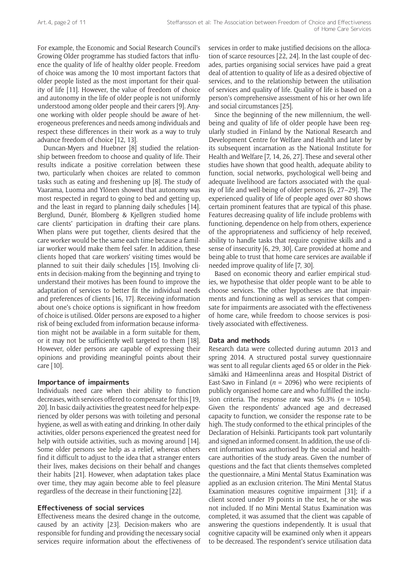For example, the Economic and Social Research Council's Growing Older programme has studied factors that influence the quality of life of healthy older people. Freedom of choice was among the 10 most important factors that older people listed as the most important for their quality of life [11]. However, the value of freedom of choice and autonomy in the life of older people is not uniformly understood among older people and their carers [9]. Anyone working with older people should be aware of heterogeneous preferences and needs among individuals and respect these differences in their work as a way to truly advance freedom of choice [12, 13].

Duncan-Myers and Huebner [8] studied the relationship between freedom to choose and quality of life. Their results indicate a positive correlation between these two, particularly when choices are related to common tasks such as eating and freshening up [8]. The study of Vaarama, Luoma and Ylönen showed that autonomy was most respected in regard to going to bed and getting up, and the least in regard to planning daily schedules [14]. Berglund, Dunér, Blomberg & Kjellgren studied home care clients' participation in drafting their care plans. When plans were put together, clients desired that the care worker would be the same each time because a familiar worker would make them feel safer. In addition, these clients hoped that care workers' visiting times would be planned to suit their daily schedules [15]. Involving clients in decision-making from the beginning and trying to understand their motives has been found to improve the adaptation of services to better fit the individual needs and preferences of clients [16, 17]. Receiving information about one's choice options is significant in how freedom of choice is utilised. Older persons are exposed to a higher risk of being excluded from information because information might not be available in a form suitable for them, or it may not be sufficiently well targeted to them [18]. However, older persons are capable of expressing their opinions and providing meaningful points about their care [10].

#### **Importance of impairments**

Individuals need care when their ability to function decreases, with services offered to compensate for this [19, 20]. In basic daily activities the greatest need for help experienced by older persons was with toileting and personal hygiene, as well as with eating and drinking. In other daily activities, older persons experienced the greatest need for help with outside activities, such as moving around [14]. Some older persons see help as a relief, whereas others find it difficult to adjust to the idea that a stranger enters their lives, makes decisions on their behalf and changes their habits [21]. However, when adaptation takes place over time, they may again become able to feel pleasure regardless of the decrease in their functioning [22].

## **Effectiveness of social services**

Effectiveness means the desired change in the outcome, caused by an activity [23]. Decision-makers who are responsible for funding and providing the necessary social services require information about the effectiveness of services in order to make justified decisions on the allocation of scarce resources [22, 24]. In the last couple of decades, parties organising social services have paid a great deal of attention to quality of life as a desired objective of services, and to the relationship between the utilisation of services and quality of life. Quality of life is based on a person's comprehensive assessment of his or her own life and social circumstances [25].

Since the beginning of the new millennium, the wellbeing and quality of life of older people have been regularly studied in Finland by the National Research and Development Centre for Welfare and Health and later by its subsequent incarnation as the National Institute for Health and Welfare [7, 14, 26, 27]. These and several other studies have shown that good health, adequate ability to function, social networks, psychological well-being and adequate livelihood are factors associated with the quality of life and well-being of older persons [6, 27–29]. The experienced quality of life of people aged over 80 shows certain prominent features that are typical of this phase. Features decreasing quality of life include problems with functioning, dependence on help from others, experience of the appropriateness and sufficiency of help received, ability to handle tasks that require cognitive skills and a sense of insecurity [6, 29, 30]. Care provided at home and being able to trust that home care services are available if needed improve quality of life [7, 30].

Based on economic theory and earlier empirical studies, we hypothesise that older people want to be able to choose services. The other hypotheses are that impairments and functioning as well as services that compensate for impairments are associated with the effectiveness of home care, while freedom to choose services is positively associated with effectiveness.

#### **Data and methods**

Research data were collected during autumn 2013 and spring 2014. A structured postal survey questionnaire was sent to all regular clients aged 65 or older in the Pieksämäki and Hämeenlinna areas and Hospital District of East-Savo in Finland ( $n = 2096$ ) who were recipients of publicly organised home care and who fulfilled the inclusion criteria. The response rate was 50.3% ( $n = 1054$ ). Given the respondents' advanced age and decreased capacity to function, we consider the response rate to be high. The study conformed to the ethical principles of the Declaration of Helsinki. Participants took part voluntarily and signed an informed consent. In addition, the use of client information was authorised by the social and healthcare authorities of the study areas. Given the number of questions and the fact that clients themselves completed the questionnaire, a Mini Mental Status Examination was applied as an exclusion criterion. The Mini Mental Status Examination measures cognitive impairment [31]; if a client scored under 19 points in the test, he or she was not included. If no Mini Mental Status Examination was completed, it was assumed that the client was capable of answering the questions independently. It is usual that cognitive capacity will be examined only when it appears to be decreased. The respondent's service utilisation data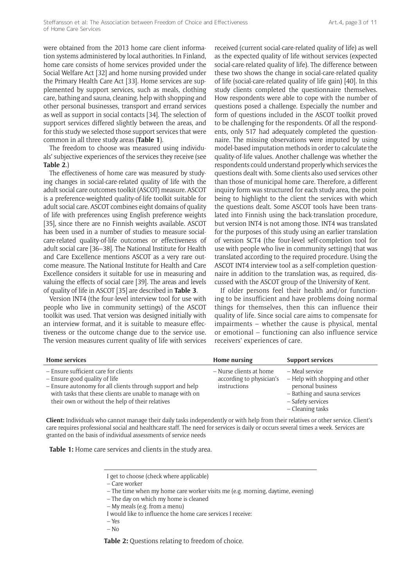were obtained from the 2013 home care client information systems administered by local authorities. In Finland, home care consists of home services provided under the Social Welfare Act [32] and home nursing provided under the Primary Health Care Act [33]. Home services are supplemented by support services, such as meals, clothing care, bathing and sauna, cleaning, help with shopping and other personal businesses, transport and errand services as well as support in social contacts [34]. The selection of support services differed slightly between the areas, and for this study we selected those support services that were common in all three study areas (**Table 1**).

The freedom to choose was measured using individuals' subjective experiences of the services they receive (see **Table 2**.)

The effectiveness of home care was measured by studying changes in social-care-related quality of life with the adult social care outcomes toolkit (ASCOT) measure. ASCOT is a preference-weighted quality-of-life toolkit suitable for adult social care. ASCOT combines eight domains of quality of life with preferences using English preference weights [35], since there are no Finnish weights available. ASCOT has been used in a number of studies to measure socialcare-related quality-of-life outcomes or effectiveness of adult social care [36–38]. The National Institute for Health and Care Excellence mentions ASCOT as a very rare outcome measure. The National Institute for Health and Care Excellence considers it suitable for use in measuring and valuing the effects of social care [39]. The areas and levels of quality of life in ASCOT [35] are described in **Table 3**.

Version INT4 (the four-level interview tool for use with people who live in community settings) of the ASCOT toolkit was used. That version was designed initially with an interview format, and it is suitable to measure effectiveness or the outcome change due to the service use. The version measures current quality of life with services

received (current social-care-related quality of life) as well as the expected quality of life without services (expected social-care-related quality of life). The difference between these two shows the change in social-care-related quality of life (social-care-related quality of life gain) [40]. In this study clients completed the questionnaire themselves. How respondents were able to cope with the number of questions posed a challenge. Especially the number and form of questions included in the ASCOT toolkit proved to be challenging for the respondents. Of all the respondents, only 517 had adequately completed the questionnaire. The missing observations were imputed by using model-based imputation methods in order to calculate the quality-of-life values. Another challenge was whether the respondents could understand properly which services the questions dealt with. Some clients also used services other than those of municipal home care. Therefore, a different inquiry form was structured for each study area, the point being to highlight to the client the services with which the questions dealt. Some ASCOT tools have been translated into Finnish using the back-translation procedure, but version INT4 is not among those. INT4 was translated for the purposes of this study using an earlier translation of version SCT4 (the four-level self-completion tool for use with people who live in community settings) that was translated according to the required procedure. Using the ASCOT INT4 interview tool as a self-completion questionnaire in addition to the translation was, as required, discussed with the ASCOT group of the University of Kent.

If older persons feel their health and/or functioning to be insufficient and have problems doing normal things for themselves, then this can influence their quality of life. Since social care aims to compensate for impairments – whether the cause is physical, mental or emotional – functioning can also influence service receivers' experiences of care.

| <b>Home services</b>                                                                                                                                                                                                                                  | Home nursing                                                        | <b>Support services</b>                                                                                                                        |
|-------------------------------------------------------------------------------------------------------------------------------------------------------------------------------------------------------------------------------------------------------|---------------------------------------------------------------------|------------------------------------------------------------------------------------------------------------------------------------------------|
| - Ensure sufficient care for clients<br>- Ensure good quality of life<br>- Ensure autonomy for all clients through support and help<br>with tasks that these clients are unable to manage with on<br>their own or without the help of their relatives | – Nurse clients at home<br>according to physician's<br>instructions | – Meal service<br>– Help with shopping and other<br>personal business<br>- Bathing and sauna services<br>- Safety services<br>- Cleaning tasks |

**Client:** Individuals who cannot manage their daily tasks independently or with help from their relatives or other service. Client's care requires professional social and healthcare staff. The need for services is daily or occurs several times a week. Services are granted on the basis of individual assessments of service needs

**Table 1:** Home care services and clients in the study area.

– Yes

 $-$  No

**Table 2:** Questions relating to freedom of choice.

I get to choose (check where applicable)

<sup>–</sup> Care worker

<sup>–</sup> The time when my home care worker visits me (e.g. morning, daytime, evening)

<sup>–</sup> The day on which my home is cleaned

<sup>–</sup> My meals (e.g. from a menu)

I would like to influence the home care services I receive: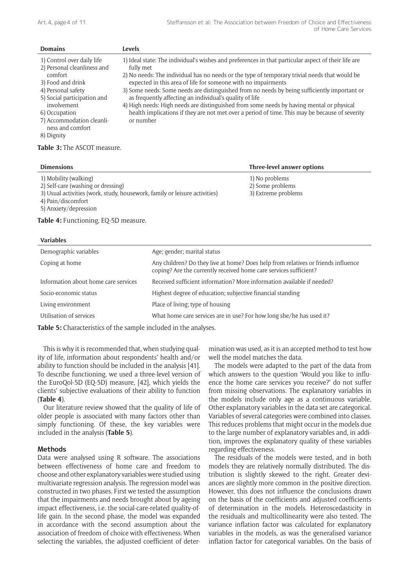| <b>Domains</b>                                                                                                                                                                                                                                | Levels                                                                                                                                                                                                                                                                                                                                                                                                                                                                                                                                                                                                                                                   |
|-----------------------------------------------------------------------------------------------------------------------------------------------------------------------------------------------------------------------------------------------|----------------------------------------------------------------------------------------------------------------------------------------------------------------------------------------------------------------------------------------------------------------------------------------------------------------------------------------------------------------------------------------------------------------------------------------------------------------------------------------------------------------------------------------------------------------------------------------------------------------------------------------------------------|
| 1) Control over daily life<br>2) Personal cleanliness and<br>comfort<br>3) Food and drink<br>4) Personal safety<br>5) Social participation and<br>involvement<br>6) Occupation<br>7) Accommodation cleanli-<br>ness and comfort<br>8) Dignity | 1) Ideal state: The individual's wishes and preferences in that particular aspect of their life are<br>fully met<br>2) No needs: The individual has no needs or the type of temporary trivial needs that would be<br>expected in this area of life for someone with no impairments<br>3) Some needs: Some needs are distinguished from no needs by being sufficiently important or<br>as frequently affecting an individual's quality of life<br>4) High needs: High needs are distinguished from some needs by having mental or physical<br>health implications if they are not met over a period of time. This may be because of severity<br>or number |

| <b>Dimensions</b>                                                          | Three-level answer options |
|----------------------------------------------------------------------------|----------------------------|
| 1) Mobility (walking)                                                      | 1) No problems             |
| 2) Self-care (washing or dressing)                                         | 2) Some problems           |
| 3) Usual activities (work, study, housework, family or leisure activities) | 3) Extreme problems        |
| 4) Pain/discomfort                                                         |                            |
| 5) Anxiety/depression                                                      |                            |

**Table 4:** Functioning, EQ-5D measure.

**Table 3:** The ASCOT measure.

| <b>Variables</b>                     |                                                                                                                                                        |
|--------------------------------------|--------------------------------------------------------------------------------------------------------------------------------------------------------|
| Demographic variables                | Age; gender; marital status                                                                                                                            |
| Coping at home                       | Any children? Do they live at home? Does help from relatives or friends influence<br>coping? Are the currently received home care services sufficient? |
| Information about home care services | Received sufficient information? More information available if needed?                                                                                 |
| Socio-economic status                | Highest degree of education; subjective financial standing                                                                                             |
| Living environment                   | Place of living; type of housing                                                                                                                       |
| Utilisation of services              | What home care services are in use? For how long she/he has used it?                                                                                   |

**Table 5:** Characteristics of the sample included in the analyses.

This is why it is recommended that, when studying quality of life, information about respondents' health and/or ability to function should be included in the analysis [41]. To describe functioning, we used a three-level version of the EuroQol-5D (EQ-5D) measure, [42], which yields the clients' subjective evaluations of their ability to function (**Table 4**).

Our literature review showed that the quality of life of older people is associated with many factors other than simply functioning. Of these, the key variables were included in the analysis (**Table 5**).

#### **Methods**

Data were analysed using R software. The associations between effectiveness of home care and freedom to choose and other explanatory variables were studied using multivariate regression analysis. The regression model was constructed in two phases. First we tested the assumption that the impairments and needs brought about by ageing impact effectiveness, i.e. the social-care-related quality-oflife gain. In the second phase, the model was expanded in accordance with the second assumption about the association of freedom of choice with effectiveness. When selecting the variables, the adjusted coefficient of deter-

mination was used, as it is an accepted method to test how well the model matches the data.

The models were adapted to the part of the data from which answers to the question 'Would you like to influence the home care services you receive?' do not suffer from missing observations. The explanatory variables in the models include only age as a continuous variable. Other explanatory variables in the data set are categorical. Variables of several categories were combined into classes. This reduces problems that might occur in the models due to the large number of explanatory variables and, in addition, improves the explanatory quality of these variables regarding effectiveness.

The residuals of the models were tested, and in both models they are relatively normally distributed. The distribution is slightly skewed to the right. Greater deviances are slightly more common in the positive direction. However, this does not influence the conclusions drawn on the basis of the coefficients and adjusted coefficients of determination in the models. Heteroscedasticity in the residuals and multicollinearity were also tested. The variance inflation factor was calculated for explanatory variables in the models, as was the generalised variance inflation factor for categorical variables. On the basis of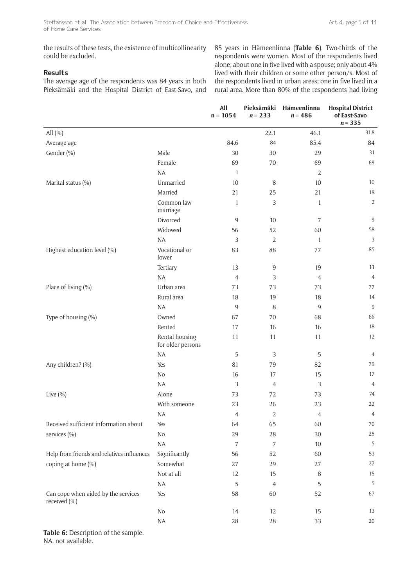the results of these tests, the existence of multicollinearity could be excluded.

## **Results**

The average age of the respondents was 84 years in both Pieksämäki and the Hospital District of East-Savo, and 85 years in Hämeenlinna (**Table 6**). Two-thirds of the respondents were women. Most of the respondents lived alone; about one in five lived with a spouse; only about 4% lived with their children or some other person/s. Most of the respondents lived in urban areas; one in five lived in a rural area. More than 80% of the respondents had living

|                                                     |                                     | All<br>$n = 1054$ | Pieksämäki<br>$n = 233$ | Hämeenlinna<br>$n = 486$ | <b>Hospital District</b><br>of East-Savo<br>$n = 335$ |
|-----------------------------------------------------|-------------------------------------|-------------------|-------------------------|--------------------------|-------------------------------------------------------|
| All $(\% )$                                         |                                     |                   | 22.1                    | 46.1                     | 31.8                                                  |
| Average age                                         |                                     | 84.6              | 84                      | 85.4                     | 84                                                    |
| Gender (%)                                          | Male                                | 30                | 30                      | 29                       | 31                                                    |
|                                                     | Female                              | 69                | 70                      | 69                       | 69                                                    |
|                                                     | $\sf NA$                            | $\mathbf{1}$      |                         | $\overline{2}$           |                                                       |
| Marital status (%)                                  | Unmarried                           | 10                | 8                       | 10                       | 10                                                    |
|                                                     | Married                             | 21                | 25                      | 21                       | 18                                                    |
|                                                     | Common law<br>marriage              | 1                 | 3                       | 1                        | $\overline{2}$                                        |
|                                                     | Divorced                            | 9                 | 10                      | 7                        | 9                                                     |
|                                                     | Widowed                             | 56                | 52                      | 60                       | 58                                                    |
|                                                     | <b>NA</b>                           | 3                 | $\overline{2}$          | $\mathbf{1}$             | 3                                                     |
| Highest education level (%)                         | Vocational or<br>lower              | 83                | 88                      | 77                       | 85                                                    |
|                                                     | Tertiary                            | 13                | 9                       | 19                       | 11                                                    |
|                                                     | $\sf NA$                            | $\overline{4}$    | 3                       | $\overline{4}$           | $\overline{4}$                                        |
| Place of living (%)                                 | Urban area                          | 73                | 73                      | 73                       | 77                                                    |
|                                                     | Rural area                          | 18                | 19                      | 18                       | 14                                                    |
|                                                     | <b>NA</b>                           | 9                 | 8                       | 9                        | $\overline{9}$                                        |
| Type of housing (%)                                 | Owned                               | 67                | 70                      | 68                       | 66                                                    |
|                                                     | Rented                              | 17                | 16                      | 16                       | 18                                                    |
|                                                     | Rental housing<br>for older persons | 11                | 11                      | 11                       | 12                                                    |
|                                                     | <b>NA</b>                           | 5                 | 3                       | 5                        | 4                                                     |
| Any children? (%)                                   | Yes                                 | 81                | 79                      | 82                       | 79                                                    |
|                                                     | No                                  | 16                | 17                      | 15                       | 17                                                    |
|                                                     | <b>NA</b>                           | 3                 | $\overline{4}$          | 3                        | 4                                                     |
| Live $(\% )$                                        | Alone                               | 73                | 72                      | 73                       | 74                                                    |
|                                                     | With someone                        | 23                | 26                      | 23                       | 22                                                    |
|                                                     | $\sf NA$                            | 4                 | $\overline{2}$          | 4                        | 4                                                     |
| Received sufficient information about               | Yes                                 | 64                | 65                      | 60                       | 70                                                    |
| services (%)                                        | $\rm No$                            | 29                | $28\,$                  | 30                       | 25                                                    |
|                                                     | $\sf NA$                            | 7                 | $\sqrt{ }$              | 10                       | 5                                                     |
| Help from friends and relatives influences          | Significantly                       | 56                | 52                      | 60                       | 53                                                    |
| coping at home (%)                                  | Somewhat                            | 27                | 29                      | 27                       | 27                                                    |
|                                                     | Not at all                          | 12                | 15                      | 8                        | 15                                                    |
|                                                     | $\sf NA$                            | 5                 | $\sqrt{4}$              | 5                        | 5                                                     |
| Can cope when aided by the services<br>received (%) | Yes                                 | 58                | 60                      | 52                       | 67                                                    |
|                                                     | $\rm No$                            | 14                | 12                      | 15                       | 13                                                    |
|                                                     | $\sf NA$                            | $28\,$            | $28\,$                  | 33                       | 20                                                    |
|                                                     |                                     |                   |                         |                          |                                                       |

**Table 6:** Description of the sample. NA, not available.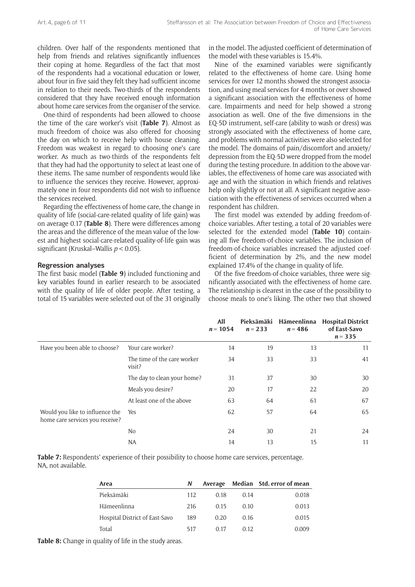children. Over half of the respondents mentioned that help from friends and relatives significantly influences their coping at home. Regardless of the fact that most of the respondents had a vocational education or lower, about four in five said they felt they had sufficient income in relation to their needs. Two-thirds of the respondents considered that they have received enough information about home care services from the organiser of the service.

One-third of respondents had been allowed to choose the time of the care worker's visit (**Table 7**). Almost as much freedom of choice was also offered for choosing the day on which to receive help with house cleaning. Freedom was weakest in regard to choosing one's care worker. As much as two-thirds of the respondents felt that they had had the opportunity to select at least one of these items. The same number of respondents would like to influence the services they receive. However, approximately one in four respondents did not wish to influence the services received.

Regarding the effectiveness of home care, the change in quality of life (social-care-related quality of life gain) was on average 0.17 (**Table 8**). There were differences among the areas and the difference of the mean value of the lowest and highest social-care-related quality-of-life gain was significant (Kruskal–Wallis *p* < 0.05).

#### **Regression analyses**

The first basic model (**Table 9**) included functioning and key variables found in earlier research to be associated with the quality of life of older people. After testing, a total of 15 variables were selected out of the 31 originally in the model. The adjusted coefficient of determination of the model with these variables is 15.4%.

Nine of the examined variables were significantly related to the effectiveness of home care. Using home services for over 12 months showed the strongest association, and using meal services for 4 months or over showed a significant association with the effectiveness of home care. Impairments and need for help showed a strong association as well. One of the five dimensions in the EQ-5D instrument, self-care (ability to wash or dress) was strongly associated with the effectiveness of home care, and problems with normal activities were also selected for the model. The domains of pain/discomfort and anxiety/ depression from the EQ-5D were dropped from the model during the testing procedure. In addition to the above variables, the effectiveness of home care was associated with age and with the situation in which friends and relatives help only slightly or not at all. A significant negative association with the effectiveness of services occurred when a respondent has children.

The first model was extended by adding freedom-ofchoice variables. After testing, a total of 20 variables were selected for the extended model (**Table 10**) containing all five freedom-of-choice variables. The inclusion of freedom-of-choice variables increased the adjusted coefficient of determination by 2%, and the new model explained 17.4% of the change in quality of life.

Of the five freedom-of-choice variables, three were significantly associated with the effectiveness of home care. The relationship is clearest in the case of the possibility to choose meals to one's liking. The other two that showed

|                                                                    |                                       | All<br>$n = 1054$ | Pieksämäki<br>$n = 233$ | Hämeenlinna<br>$n = 486$ | <b>Hospital District</b><br>of East-Savo<br>$n = 335$ |
|--------------------------------------------------------------------|---------------------------------------|-------------------|-------------------------|--------------------------|-------------------------------------------------------|
| Have you been able to choose?                                      | Your care worker?                     | 14                | 19                      | 13                       | 11                                                    |
|                                                                    | The time of the care worker<br>visit? | 34                | 33                      | 33                       | 41                                                    |
|                                                                    | The day to clean your home?           | 31                | 37                      | 30                       | 30                                                    |
|                                                                    | Meals you desire?                     | 20                | 17                      | 22                       | 20                                                    |
|                                                                    | At least one of the above             | 63                | 64                      | 61                       | 67                                                    |
| Would you like to influence the<br>home care services you receive? | Yes                                   | 62                | 57                      | 64                       | 65                                                    |
|                                                                    | N <sub>o</sub>                        | 24                | 30                      | 21                       | 24                                                    |
|                                                                    | <b>NA</b>                             | 14                | 13                      | 15                       | 11                                                    |

**Table 7:** Respondents' experience of their possibility to choose home care services, percentage. NA, not available.

| Area                           |      |      |       | Average Median Std. error of mean |
|--------------------------------|------|------|-------|-----------------------------------|
| Pieksämäki                     | 112. | 0.18 | 0.14  | 0.018                             |
| Hämeenlinna                    | 216  | 0.15 | 0.10  | 0.013                             |
| Hospital District of East-Savo | 189  | 0.20 | 0.16  | 0.015                             |
| Total                          | 517  | O 17 | 0.12. | 0.009                             |

**Table 8:** Change in quality of life in the study areas.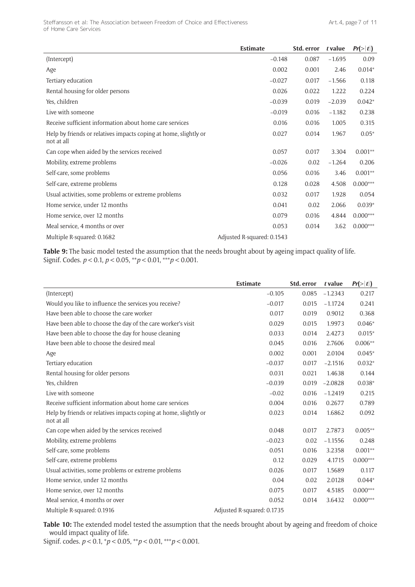|                                                                                | Estimate                   | Std. error | t value  | Pr(> t )   |
|--------------------------------------------------------------------------------|----------------------------|------------|----------|------------|
| (Intercept)                                                                    | $-0.148$                   | 0.087      | $-1.695$ | 0.09       |
| Age                                                                            | 0.002                      | 0.001      | 2.46     | $0.014*$   |
| Tertiary education                                                             | $-0.027$                   | 0.017      | $-1.566$ | 0.118      |
| Rental housing for older persons                                               | 0.026                      | 0.022      | 1.222    | 0.224      |
| Yes, children                                                                  | $-0.039$                   | 0.019      | $-2.039$ | $0.042*$   |
| Live with someone                                                              | $-0.019$                   | 0.016      | $-1.182$ | 0.238      |
| Receive sufficient information about home care services                        | 0.016                      | 0.016      | 1.005    | 0.315      |
| Help by friends or relatives impacts coping at home, slightly or<br>not at all | 0.027                      | 0.014      | 1.967    | $0.05*$    |
| Can cope when aided by the services received                                   | 0.057                      | 0.017      | 3.304    | $0.001**$  |
| Mobility, extreme problems                                                     | $-0.026$                   | 0.02       | $-1.264$ | 0.206      |
| Self-care, some problems                                                       | 0.056                      | 0.016      | 3.46     | $0.001**$  |
| Self-care, extreme problems                                                    | 0.128                      | 0.028      | 4.508    | $0.000***$ |
| Usual activities, some problems or extreme problems                            | 0.032                      | 0.017      | 1.928    | 0.054      |
| Home service, under 12 months                                                  | 0.041                      | 0.02       | 2.066    | $0.039*$   |
| Home service, over 12 months                                                   | 0.079                      | 0.016      | 4.844    | $0.000***$ |
| Meal service, 4 months or over                                                 | 0.053                      | 0.014      | 3.62     | $0.000***$ |
| Multiple R-squared: 0.1682                                                     | Adjusted R-squared: 0.1543 |            |          |            |

**Table 9:** The basic model tested the assumption that the needs brought about by ageing impact quality of life. Signif. Codes. *p* < 0.1, *p* < 0.05, \*\**p* < 0.01, \*\*\**p* < 0.001.

|                                                                                | Estimate                   | Std. error | t value   | Pr(> t )   |
|--------------------------------------------------------------------------------|----------------------------|------------|-----------|------------|
| (Intercept)                                                                    | $-0.105$                   | 0.085      | $-1.2343$ | 0.217      |
| Would you like to influence the services you receive?                          | $-0.017$                   | 0.015      | $-1.1724$ | 0.241      |
| Have been able to choose the care worker                                       | 0.017                      | 0.019      | 0.9012    | 0.368      |
| Have been able to choose the day of the care worker's visit                    | 0.029                      | 0.015      | 1.9973    | $0.046*$   |
| Have been able to choose the day for house cleaning                            | 0.033                      | 0.014      | 2.4273    | $0.015*$   |
| Have been able to choose the desired meal                                      | 0.045                      | 0.016      | 2.7606    | $0.006**$  |
| Age                                                                            | 0.002                      | 0.001      | 2.0104    | $0.045*$   |
| Tertiary education                                                             | $-0.037$                   | 0.017      | $-2.1516$ | $0.032*$   |
| Rental housing for older persons                                               | 0.031                      | 0.021      | 1.4638    | 0.144      |
| Yes, children                                                                  | $-0.039$                   | 0.019      | $-2.0828$ | $0.038*$   |
| Live with someone                                                              | $-0.02$                    | 0.016      | $-1.2419$ | 0.215      |
| Receive sufficient information about home care services                        | 0.004                      | 0.016      | 0.2677    | 0.789      |
| Help by friends or relatives impacts coping at home, slightly or<br>not at all | 0.023                      | 0.014      | 1.6862    | 0.092      |
| Can cope when aided by the services received                                   | 0.048                      | 0.017      | 2.7873    | $0.005**$  |
| Mobility, extreme problems                                                     | $-0.023$                   | 0.02       | $-1.1556$ | 0.248      |
| Self-care, some problems                                                       | 0.051                      | 0.016      | 3.2358    | $0.001**$  |
| Self-care, extreme problems                                                    | 0.12                       | 0.029      | 4.1715    | $0.000***$ |
| Usual activities, some problems or extreme problems                            | 0.026                      | 0.017      | 1.5689    | 0.117      |
| Home service, under 12 months                                                  | 0.04                       | 0.02       | 2.0128    | $0.044*$   |
| Home service, over 12 months                                                   | 0.075                      | 0.017      | 4.5185    | $0.000***$ |
| Meal service, 4 months or over                                                 | 0.052                      | 0.014      | 3.6432    | $0.000***$ |
| Multiple R-squared: 0.1916                                                     | Adjusted R-squared: 0.1735 |            |           |            |

**Table 10:** The extended model tested the assumption that the needs brought about by ageing and freedom of choice would impact quality of life.

Signif. codes. *p* < 0.1, \**p* < 0.05, \*\**p* < 0.01, \*\*\**p* < 0.001.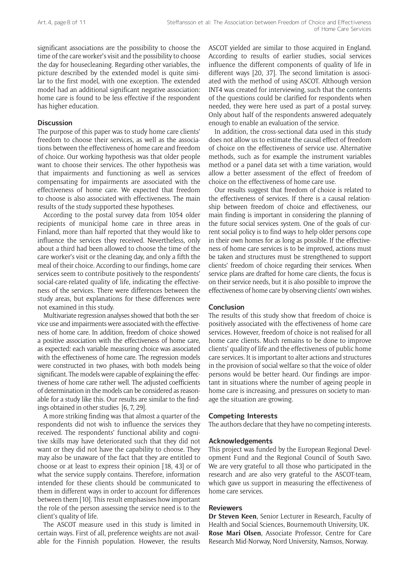significant associations are the possibility to choose the time of the care worker's visit and the possibility to choose the day for housecleaning. Regarding other variables, the picture described by the extended model is quite similar to the first model, with one exception. The extended model had an additional significant negative association: home care is found to be less effective if the respondent has higher education.

## **Discussion**

The purpose of this paper was to study home care clients' freedom to choose their services, as well as the associations between the effectiveness of home care and freedom of choice. Our working hypothesis was that older people want to choose their services. The other hypothesis was that impairments and functioning as well as services compensating for impairments are associated with the effectiveness of home care. We expected that freedom to choose is also associated with effectiveness. The main results of the study supported these hypotheses.

According to the postal survey data from 1054 older recipients of municipal home care in three areas in Finland, more than half reported that they would like to influence the services they received. Nevertheless, only about a third had been allowed to choose the time of the care worker's visit or the cleaning day, and only a fifth the meal of their choice. According to our findings, home care services seem to contribute positively to the respondents' social-care-related quality of life, indicating the effectiveness of the services. There were differences between the study areas, but explanations for these differences were not examined in this study.

Multivariate regression analyses showed that both the service use and impairments were associated with the effectiveness of home care. In addition, freedom of choice showed a positive association with the effectiveness of home care, as expected: each variable measuring choice was associated with the effectiveness of home care. The regression models were constructed in two phases, with both models being significant. The models were capable of explaining the effectiveness of home care rather well. The adjusted coefficients of determination in the models can be considered as reasonable for a study like this. Our results are similar to the findings obtained in other studies [6, 7, 29].

A more striking finding was that almost a quarter of the respondents did not wish to influence the services they received. The respondents' functional ability and cognitive skills may have deteriorated such that they did not want or they did not have the capability to choose. They may also be unaware of the fact that they are entitled to choose or at least to express their opinion [18, 43] or of what the service supply contains. Therefore, information intended for these clients should be communicated to them in different ways in order to account for differences between them [10]. This result emphasises how important the role of the person assessing the service need is to the client's quality of life.

The ASCOT measure used in this study is limited in certain ways. First of all, preference weights are not available for the Finnish population. However, the results ASCOT yielded are similar to those acquired in England. According to results of earlier studies, social services influence the different components of quality of life in different ways [20, 37]. The second limitation is associated with the method of using ASCOT. Although version INT4 was created for interviewing, such that the contents of the questions could be clarified for respondents when needed, they were here used as part of a postal survey. Only about half of the respondents answered adequately enough to enable an evaluation of the service.

In addition, the cross-sectional data used in this study does not allow us to estimate the causal effect of freedom of choice on the effectiveness of service use. Alternative methods, such as for example the instrument variables method or a panel data set with a time variation, would allow a better assessment of the effect of freedom of choice on the effectiveness of home care use.

Our results suggest that freedom of choice is related to the effectiveness of services. If there is a causal relationship between freedom of choice and effectiveness, our main finding is important in considering the planning of the future social services system. One of the goals of current social policy is to find ways to help older persons cope in their own homes for as long as possible. If the effectiveness of home care services is to be improved, actions must be taken and structures must be strengthened to support clients' freedom of choice regarding their services. When service plans are drafted for home care clients, the focus is on their service needs, but it is also possible to improve the effectiveness of home care by observing clients' own wishes.

#### **Conclusion**

The results of this study show that freedom of choice is positively associated with the effectiveness of home care services. However, freedom of choice is not realised for all home care clients. Much remains to be done to improve clients' quality of life and the effectiveness of public home care services. It is important to alter actions and structures in the provision of social welfare so that the voice of older persons would be better heard. Our findings are important in situations where the number of ageing people in home care is increasing, and pressures on society to manage the situation are growing.

### **Competing Interests**

The authors declare that they have no competing interests.

## **Acknowledgements**

This project was funded by the European Regional Development Fund and the Regional Council of South Savo. We are very grateful to all those who participated in the research and are also very grateful to the ASCOT-team, which gave us support in measuring the effectiveness of home care services.

### **Reviewers**

**Dr Steven Keen**, Senior Lecturer in Research, Faculty of Health and Social Sciences, Bournemouth University, UK. **Rose Mari Olsen**, Associate Professor, Centre for Care Research Mid-Norway, Nord University, Namsos, Norway.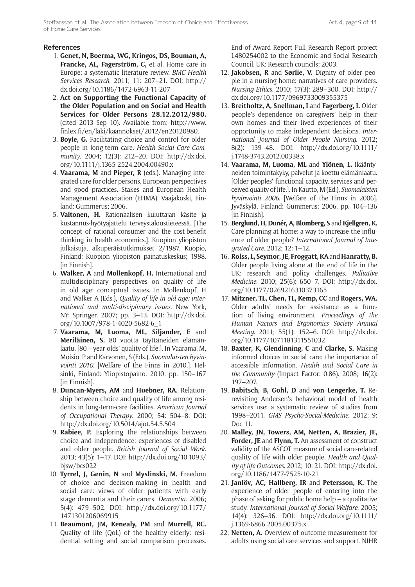## **References**

- 1. **Genet, N, Boerma, WG, Kringos, DS, Bouman, A, Francke, AL, Fagerström, C,** et al. Home care in Europe: a systematic literature review. *BMC Health Services Research*. 2011; 11: 207–21. DOI: [http://](http://dx.doi.org/10.1186/1472-6963-11-207) [dx.doi.org/10.1186/1472-6963-11-207](http://dx.doi.org/10.1186/1472-6963-11-207)
- 2. **Act on Supporting the Functional Capacity of the Older Population and on Social and Health Services for Older Persons 28.12.2012/980.** (cited 2013 Sep 10). Available from: [http://www.](http://www.finlex.fi/en/laki/kaannokset/2012/en20120980) [finlex.fi/en/laki/kaannokset/2012/en20120980.](http://www.finlex.fi/en/laki/kaannokset/2012/en20120980)
- 3. **Boyle, G.** Facilitating choice and control for older people in long-term care. *Health Social Care Community*. 2004; 12(3): 212–20. DOI: [http://dx.doi.](http://dx.doi.org/10.1111/j.1365-2524.2004.00490.x) [org/10.1111/j.1365-2524.2004.00490.x](http://dx.doi.org/10.1111/j.1365-2524.2004.00490.x)
- 4. **Vaarama, M** and **Pieper, R** (eds.). Managing integrated care for older persons. European perspectives and good practices. Stakes and European Health Management Association (EHMA). Vaajakoski, Finland: Gummerus; 2006.
- 5. **Valtonen, H.** Rationaalisen kuluttajan käsite ja kustannus-hyötyajattelu terveystaloustieteessä. [The concept of rational consumer and the cost-benefit thinking in health economics.]. Kuopion yliopiston julkaisuja, alkuperäistutkimukset 2/1987. Kuopio, Finland: Kuopion yliopiston painatuskeskus; 1988. [in Finnish].
- 6. **Walker, A** and **Mollenkopf, H.** International and multidisciplinary perspectives on quality of life in old age: conceptual issues. In Mollenkopf, H and Walker A (Eds.), *Quality of life in old age: international and multi-disciplinary issues*. New York, NY: Springer. 2007; pp. 3–13. DOI: [http://dx.doi.](http://dx.doi.org/10.1007/978-1-4020-5682-6_1) [org/10.1007/978-1-4020-5682-6\\_1](http://dx.doi.org/10.1007/978-1-4020-5682-6_1)
- 7. **Vaarama, M, Luoma, ML, Siljander, E** and **Meriläinen, S.** 80 vuotta täyttäneiden elämänlaatu. [80 – year-olds' quality of life.]. In Vaarama, M, Moisio, P and Karvonen, S (Eds.), *Suomalaisten hyvinvointi 2010*. [Welfare of the Finns in 2010.]. Helsinki, Finland: Yliopistopaino. 2010; pp. 150–167 [in Finnish].
- 8. **Duncan-Myers, AM** and **Huebner, RA.** Relationship between choice and quality of life among residents in long-term-care facilities. *American Journal of Occupational Therapy*. 2000; 54: 504–8. DOI: <http://dx.doi.org/10.5014/ajot.54.5.504>
- 9. **Rabiee, P.** Exploring the relationships between choice and independence: experiences of disabled and older people. *British Journal of Social Work*. 2013; 43(5): 1–17. DOI: [http://dx.doi.org/10.1093/](http://dx.doi.org/10.1093/bjsw/bcs022) [bjsw/bcs022](http://dx.doi.org/10.1093/bjsw/bcs022)
- 10. **Tyrrel, J, Genin, N** and **Myslinski, M.** Freedom of choice and decision-making in health and social care: views of older patients with early stage dementia and their carers. *Dementia*. 2006; 5(4): 479–502. DOI: [http://dx.doi.org/10.1177/](http://dx.doi.org/10.1177/1471301206069915) [1471301206069915](http://dx.doi.org/10.1177/1471301206069915)
- 11. **Beaumont, JM, Kenealy, PM** and **Murrell, RC.** Quality of life (QoL) of the healthy elderly: residential setting and social comparison processes.

End of Award Report Full Research Report project L480254002 to the Economic and Social Research Council. UK: Research councils; 2003.

- 12. **Jakobsen, R** and **Sørlie, V.** Dignity of older people in a nursing home: narratives of care providers. *Nursing Ethics*. 2010; 17(3): 289–300. DOI: [http://](http://dx.doi.org/10.1177/0969733009355375) [dx.doi.org/10.1177/0969733009355375](http://dx.doi.org/10.1177/0969733009355375)
- 13. **Breitholtz, A, Snellman, I** and **Fagerberg, I.** Older people's dependence on caregivers' help in their own homes and their lived experiences of their opportunity to make independent decisions. *International Journal of Older People Nursing*. 2012; 8(2): 139–48. DOI: [http://dx.doi.org/10.1111/](http://dx.doi.org/10.1111/j.1748-3743.2012.00338.x) [j.1748-3743.2012.00338.x](http://dx.doi.org/10.1111/j.1748-3743.2012.00338.x)
- 14. **Vaarama, M, Luoma, ML** and **Ylönen, L.** Ikääntyneiden toimintakyky, palvelut ja koettu elämänlaatu. [Older peoples' functional capacity, services and perceived quality of life.]. In Kautto, M (Ed.), *Suomalaisten hyvinvointi 2006*. [Welfare of the Finns in 2006]. Jyväskylä, Finland: Gummerus; 2006. pp. 104–136 [in Finnish].
- 15. **Berglund, H, Dunér, A, Blomberg, S** and **Kjellgren, K.** Care planning at home: a way to increase the influence of older people? *International Journal of Integrated Care*. 2012; 12: 1–12.
- 16. **Rolss, L, Seymor, JE, Froggatt, KA** and **Hanratty, B.** Older people living alone at the end of life in the UK: research and policy challenges. *Palliative Medicine*. 2010; 25(6): 650–7. DOI: [http://dx.doi.](http://dx.doi.org/10.1177/0269216310373165) [org/10.1177/0269216310373165](http://dx.doi.org/10.1177/0269216310373165)
- 17. **Mitzner, TL, Chen, TL, Kemp, CC** and **Rogers, WA.** Older adults' needs for assistance as a function of living environment. *Proceedings of the Human Factors and Ergonomics Society Annual Meeting*. 2011; 55(1): 152–6. DOI: [http://dx.doi.](http://dx.doi.org/10.1177/1071181311551032) [org/10.1177/1071181311551032](http://dx.doi.org/10.1177/1071181311551032)
- 18. **Baxter, K, Glendinning, C** and **Clarke, S.** Making informed choices in social care: the importance of accessible information. *Health and Social Care in the Community* (Impact Factor: 0.86). 2008; 16(2): 197–207.
- 19. **Babitsch, B, Gohl, D** and **von Lengerke, T.** Rerevisiting Andersen's behavioral model of health services use: a systematic review of studies from 1998–2011. *GMS Psycho-Social-Medicine*. 2012; 9: Doc 11.
- 20. **Malley, JN, Towers, AM, Netten, A, Brazier, JE, Forder, JE** and **Flynn, T.** An assessment of construct validity of the ASCOT measure of social care-related quality of life with older people. *Health and Quality of life Outcomes*. 2012; 10: 21. DOI: [http://dx.doi.](http://dx.doi.org/10.1186/1477-7525-10-21) [org/10.1186/1477-7525-10-21](http://dx.doi.org/10.1186/1477-7525-10-21)
- 21. **Janlöv, AC, Hallberg, IR** and **Petersson, K.** The experience of older people of entering into the phase of asking for public home help – a qualitative study. *International Journal of Social Welfare*. 2005; 14(4): 326–36. DOI: [http://dx.doi.org/10.1111/](http://dx.doi.org/10.1111/j.1369-6866.2005.00375.x) [j.1369-6866.2005.00375.x](http://dx.doi.org/10.1111/j.1369-6866.2005.00375.x)
- 22. **Netten, A.** Overview of outcome measurement for adults using social care services and support. NIHR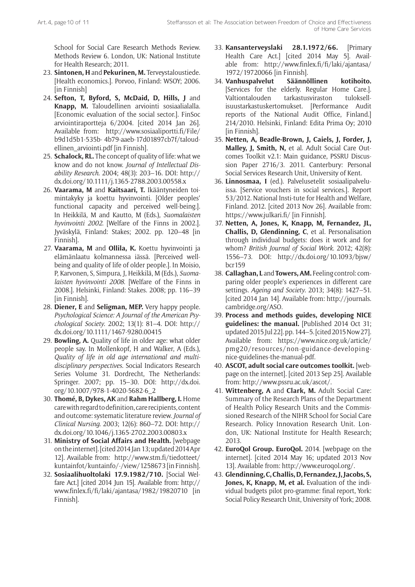School for Social Care Research Methods Review. Methods Review 6. London, UK: National Institute for Health Research; 2011.

- 23. **Sintonen, H** and **Pekurinen, M.** Terveystaloustiede. [Health economics.]. Porvoo, Finland: WSOY; 2006. [in Finnish]
- 24. **Sefton, T, Byford, S, McDaid, D, Hills, J** and **Knapp, M.** Taloudellinen arviointi sosiaalialalla. [Economic evaluation of the social sector.]. FinSoc arviointiraportteja 6/2004. [cited 2014 Jan 26]. Available from: [http://www.sosiaaliportti.fi/File/](http://www.sosiaaliportti.fi/File/b9d1d5b1-535b-4b79-aaeb-17d01897cb7f/taloudellinen_arviointi.pdf) [b9d1d5b1-535b](http://www.sosiaaliportti.fi/File/b9d1d5b1-535b-4b79-aaeb-17d01897cb7f/taloudellinen_arviointi.pdf)- [4b79-aaeb-17d01897cb7f/taloud](http://www.sosiaaliportti.fi/File/b9d1d5b1-535b-4b79-aaeb-17d01897cb7f/taloudellinen_arviointi.pdf)[ellinen\\_arviointi.pdf](http://www.sosiaaliportti.fi/File/b9d1d5b1-535b-4b79-aaeb-17d01897cb7f/taloudellinen_arviointi.pdf) [in Finnish].
- 25. **Schalock, RL.** The concept of quality of life: what we know and do not know. *Journal of Intellectual Disability Research*. 2004; 48(3): 203–16. DOI: [http://](http://dx.doi.org/10.1111/j.1365-2788.2003.00558.x) [dx.doi.org/10.1111/j.1365-2788.2003.00558.x](http://dx.doi.org/10.1111/j.1365-2788.2003.00558.x)
- 26. **Vaarama, M** and **Kaitsaari, T.** Ikääntyneiden toimintakyky ja koettu hyvinvointi. [Older peoples' functional capacity and perceived well-being.]. In Heikkilä, M and Kautto, M (Eds.), *Suomalaisten hyvinvointi 2002*. [Welfare of the Finns in 2002.]. Jyväskylä, Finland: Stakes; 2002. pp. 120–48 [in Finnish].
- 27. **Vaarama, M** and **Ollila, K.** Koettu hyvinvointi ja elämänlaatu kolmannessa iässä. [Perceived wellbeing and quality of life of older people.]. In Moisio, P, Karvonen, S, Simpura, J, Heikkilä, M (Eds.), *Suomalaisten hyvinvointi 2008*. [Welfare of the Finns in 2008.]. Helsinki, Finland: Stakes. 2008; pp. 116–39 [in Finnish].
- 28. **Diener, E** and **Seligman, MEP.** Very happy people. *Psychological Science: A Journal of the American Psychological Society*. 2002; 13(1): 81–4. DOI: [http://](http://dx.doi.org/10.1111/1467-9280.00415) [dx.doi.org/10.1111/1467-9280.00415](http://dx.doi.org/10.1111/1467-9280.00415)
- 29. **Bowling, A.** Quality of life in older age: what older people say. In Mollenkopf, H and Walker, A (Eds.), *Quality of life in old age international and multidisciplinary perspectives*. Social Indicators Research Series Volume 31. Dordrecht, The Netherlands: Springer. 2007; pp. 15–30. DOI: [http://dx.doi.](http://dx.doi.org/10.1007/978-1-4020-5682-6_2) [org/10.1007/978-1-4020-5682-6\\_2](http://dx.doi.org/10.1007/978-1-4020-5682-6_2)
- 30. **Thomé, B, Dykes, AK** and **Rahm Hallberg, I.** Home care with regard to definition, care recipients, content and outcome: systematic literature review. *Journal of Clinical Nursing*. 2003; 12(6): 860–72. DOI: [http://](http://dx.doi.org/10.1046/j.1365-2702.2003.00803.x) [dx.doi.org/10.1046/j.1365-2702.2003.00803.x](http://dx.doi.org/10.1046/j.1365-2702.2003.00803.x)
- 31. **Ministry of Social Affairs and Health.** [webpage on the internet]. [cited 2014 Jan 13; updated 2014 Apr 12]. Available from: [http://www.stm.fi/tiedotteet/](http://www.stm.fi/tiedotteet/kuntainfot/kuntainfo/-/view/1258673) [kuntainfot/kuntainfo/-/view/1258673](http://www.stm.fi/tiedotteet/kuntainfot/kuntainfo/-/view/1258673) [in Finnish].
- 32. **Sosiaalihuoltolaki 17.9.1982/710.** [Social Welfare Act.] [cited 2014 Jun 15]. Available from: [http://](http://www.finlex.fi/fi/laki/ajantasa/1982/19820710) [www.finlex.fi/fi/laki/ajantasa/1982/19820710](http://www.finlex.fi/fi/laki/ajantasa/1982/19820710) [in Finnish].
- 33. **Kansanterveyslaki 28.1.1972/66.** [Primary Health Care Act.] [cited 2014 May 5]. Available from: [http://www.finlex.fi/fi/laki/ajantasa/](http://www.finlex.fi/fi/laki/ajantasa/1972/19720066) [1972/19720066](http://www.finlex.fi/fi/laki/ajantasa/1972/19720066) [in Finnish].
- 34. **Vanhuspalvelut Säännöllinen kotihoito.** [Services for the elderly. Regular Home Care.]. Valtiontalouden tarkastusviraston tuloksellisuustarkastuskertomukset. [Performance Audit reports of the National Audit Office, Finland.] 214/2010. Helsinki, Finland: Edita Prima Oy; 2010 [in Finnish].
- 35. **Netten, A, Beadle-Brown, J, Caiels, J, Forder, J, Malley, J, Smith, N,** et al. Adult Social Care Outcomes Toolkit v2.1: Main guidance, PSSRU Discussion Paper 2716/3. 2011. Canterbury: Personal Social Services Research Unit, University of Kent.
- 36. **Linnosmaa, I** (ed.). Palvelusetelit sosiaalipalveluissa. [Service vouchers in social services.]. Report 53/2012. National Insti-tute for Health and Welfare, Finland. 2012. [cited 2013 Nov 26]. Available from: <https://www.julkari.fi/>[in Finnish].
- 37. **Netten, A, Jones, K, Knapp, M, Fernandez, JL, Challis, D, Glendinning, C**, et al. Personalisation through individual budgets: does it work and for whom? *British Journal of Social Work*. 2012; 42(8): 1556–73. DOI: [http://dx.doi.org/10.1093/bjsw/](http://dx.doi.org/10.1093/bjsw/bcr159) [bcr159](http://dx.doi.org/10.1093/bjsw/bcr159)
- 38. **Callaghan, L** and **Towers, AM.** Feeling control: comparing older people's experiences in different care settings. *Ageing and Society*. 2013; 34(8): 1427–51. [cited 2014 Jan 14]. Available from: [http://journals.](http://journals.cambridge.org/ASO) [cambridge.org/ASO.](http://journals.cambridge.org/ASO)
- 39. **Process and methods guides, developing NICE guidelines: the manual.** [Published 2014 Oct 31; updated 2015 Jul 22]. pp. 144–5. [cited 2015 Now 27]. Available from: [https://www.nice.org.uk/article/](https://www.nice.org.uk/article/pmg20/resources/non-guidance-developing-nice-guidelines-the-manual-pdf) [pmg20/resources/non-guidance-developing](https://www.nice.org.uk/article/pmg20/resources/non-guidance-developing-nice-guidelines-the-manual-pdf)[nice-guidelines-the-manual](https://www.nice.org.uk/article/pmg20/resources/non-guidance-developing-nice-guidelines-the-manual-pdf)-pdf.
- 40. **ASCOT, adult social care outcomes toolkit.** [webpage on the internet]. [cited 2013 Sep 25]. Available from: [http://www.pssru.](http://www.pssru)[ac.uk/ascot/](http://www.pssru.ac.uk/ascot/).
- 41. **Wittenberg, A** and **Clark, M.** Adult Social Care: Summary of the Research Plans of the Department of Health Policy Research Units and the Commissioned Research of the NIHR School for Social Care Research. Policy Innovation Research Unit. London, UK: National Institute for Health Research; 2013.
- 42. **EuroQol Group. EuroQol.** 2014. [webpage on the internet]. [cited 2014 May 16; updated 2013 Nov 13]. Available from[: http://]( http:/)[www.euroqol.org/](http://www.euroqol.org/).
- 43. **Glendinning, C, Challis, D, Fernandez, J, Jacobs, S, Jones, K, Knapp, M, et al.** Evaluation of the individual budgets pilot pro-gramme: final report, York: Social Policy Research Unit, University of York; 2008.